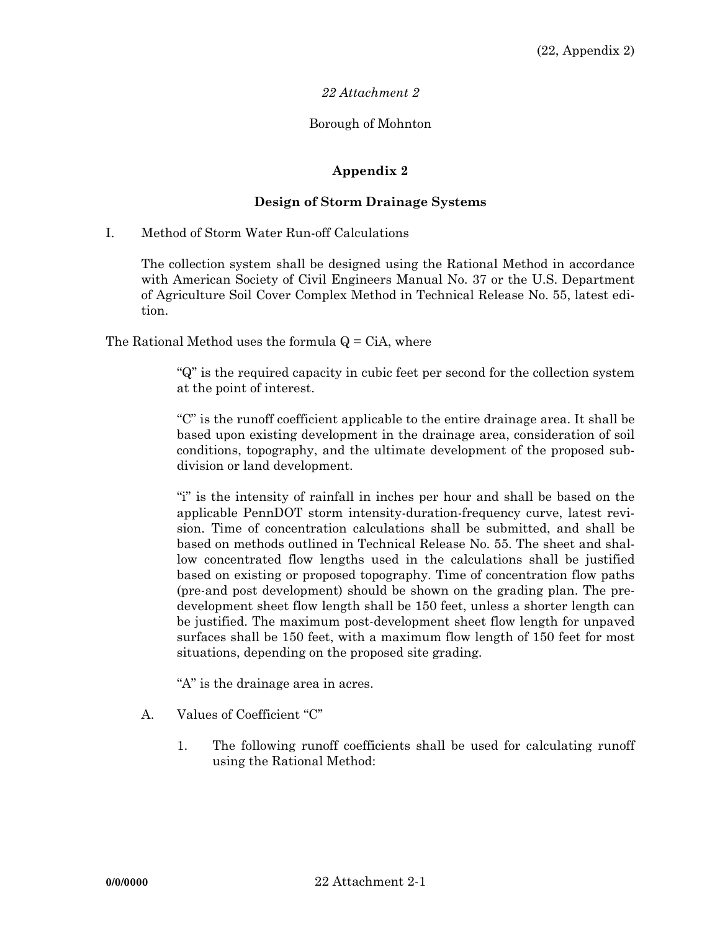### *22 Attachment 2*

#### Borough of Mohnton

### **Appendix 2**

#### **Design of Storm Drainage Systems**

I. Method of Storm Water Run-off Calculations

 The collection system shall be designed using the Rational Method in accordance with American Society of Civil Engineers Manual No. 37 or the U.S. Department of Agriculture Soil Cover Complex Method in Technical Release No. 55, latest edition.

The Rational Method uses the formula  $Q = CIA$ , where

 "Q" is the required capacity in cubic feet per second for the collection system at the point of interest.

 "C" is the runoff coefficient applicable to the entire drainage area. It shall be based upon existing development in the drainage area, consideration of soil conditions, topography, and the ultimate development of the proposed subdivision or land development.

"i" is the intensity of rainfall in inches per hour and shall be based on the applicable PennDOT storm intensity-duration-frequency curve, latest revision. Time of concentration calculations shall be submitted, and shall be based on methods outlined in Technical Release No. 55. The sheet and shallow concentrated flow lengths used in the calculations shall be justified based on existing or proposed topography. Time of concentration flow paths (pre-and post development) should be shown on the grading plan. The predevelopment sheet flow length shall be 150 feet, unless a shorter length can be justified. The maximum post-development sheet flow length for unpaved surfaces shall be 150 feet, with a maximum flow length of 150 feet for most situations, depending on the proposed site grading.

"A" is the drainage area in acres.

- A. Values of Coefficient "C"
	- 1. The following runoff coefficients shall be used for calculating runoff using the Rational Method: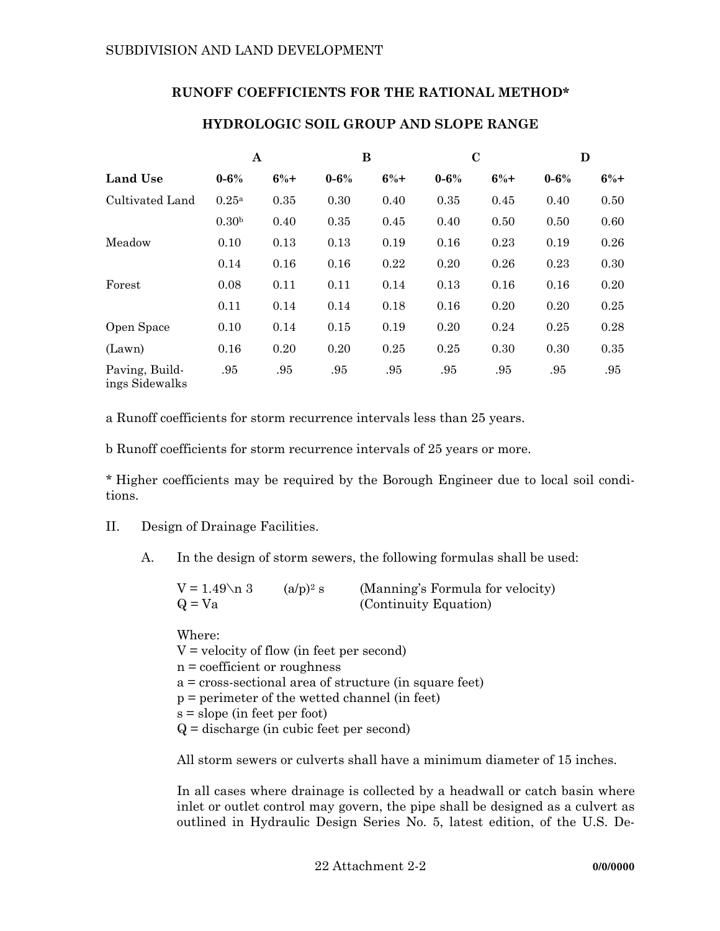## **RUNOFF COEFFICIENTS FOR THE RATIONAL METHOD\***

|                                  | A                 |       |           | В     | $\mathbf C$ |       | D         |        |
|----------------------------------|-------------------|-------|-----------|-------|-------------|-------|-----------|--------|
| <b>Land Use</b>                  | $0 - 6\%$         | $6%+$ | $0 - 6\%$ | $6%+$ | $0 - 6\%$   | $6%+$ | $0 - 6\%$ | $6\%+$ |
| Cultivated Land                  | 0.25a             | 0.35  | 0.30      | 0.40  | 0.35        | 0.45  | 0.40      | 0.50   |
|                                  | 0.30 <sup>b</sup> | 0.40  | 0.35      | 0.45  | 0.40        | 0.50  | 0.50      | 0.60   |
| Meadow                           | 0.10              | 0.13  | 0.13      | 0.19  | 0.16        | 0.23  | 0.19      | 0.26   |
|                                  | 0.14              | 0.16  | 0.16      | 0.22  | 0.20        | 0.26  | 0.23      | 0.30   |
| Forest                           | 0.08              | 0.11  | 0.11      | 0.14  | 0.13        | 0.16  | 0.16      | 0.20   |
|                                  | 0.11              | 0.14  | 0.14      | 0.18  | 0.16        | 0.20  | 0.20      | 0.25   |
| Open Space                       | 0.10              | 0.14  | 0.15      | 0.19  | 0.20        | 0.24  | 0.25      | 0.28   |
| (Lawn)                           | 0.16              | 0.20  | 0.20      | 0.25  | 0.25        | 0.30  | 0.30      | 0.35   |
| Paving, Build-<br>ings Sidewalks | .95               | .95   | .95       | .95   | .95         | .95   | .95       | .95    |

# **HYDROLOGIC SOIL GROUP AND SLOPE RANGE**

a Runoff coefficients for storm recurrence intervals less than 25 years.

b Runoff coefficients for storm recurrence intervals of 25 years or more.

\* Higher coefficients may be required by the Borough Engineer due to local soil conditions.

- II. Design of Drainage Facilities.
	- A. In the design of storm sewers, the following formulas shall be used:

| $V = 1.49 \text{ n } 3$ | $(a/p)^2$ s | (Manning's Formula for velocity) |
|-------------------------|-------------|----------------------------------|
| $Q = Va$                |             | (Continuity Equation)            |

 Where:  $V =$  velocity of flow (in feet per second) n = coefficient or roughness a = cross-sectional area of structure (in square feet) p = perimeter of the wetted channel (in feet) s = slope (in feet per foot) Q = discharge (in cubic feet per second)

All storm sewers or culverts shall have a minimum diameter of 15 inches.

 In all cases where drainage is collected by a headwall or catch basin where inlet or outlet control may govern, the pipe shall be designed as a culvert as outlined in Hydraulic Design Series No. 5, latest edition, of the U.S. De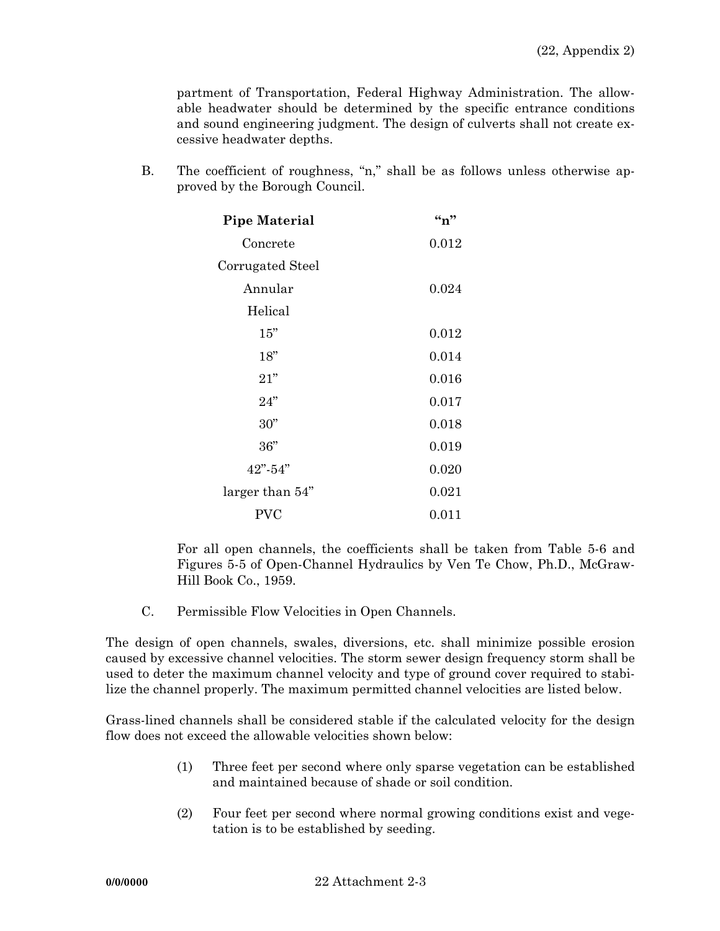partment of Transportation, Federal Highway Administration. The allowable headwater should be determined by the specific entrance conditions and sound engineering judgment. The design of culverts shall not create excessive headwater depths.

 B. The coefficient of roughness, "n," shall be as follows unless otherwise approved by the Borough Council.

| <b>Pipe Material</b> | $\mathbf{``n''}$ |
|----------------------|------------------|
| Concrete             | 0.012            |
| Corrugated Steel     |                  |
| Annular              | 0.024            |
| Helical              |                  |
| 15"                  | 0.012            |
| 18"                  | 0.014            |
| 21"                  | 0.016            |
| 24"                  | 0.017            |
| 30"                  | 0.018            |
| 36"                  | 0.019            |
| $42" - 54"$          | 0.020            |
| larger than 54"      | 0.021            |
| PVC                  | 0.011            |

 For all open channels, the coefficients shall be taken from Table 5-6 and Figures 5-5 of Open-Channel Hydraulics by Ven Te Chow, Ph.D., McGraw-Hill Book Co., 1959.

C. Permissible Flow Velocities in Open Channels.

The design of open channels, swales, diversions, etc. shall minimize possible erosion caused by excessive channel velocities. The storm sewer design frequency storm shall be used to deter the maximum channel velocity and type of ground cover required to stabilize the channel properly. The maximum permitted channel velocities are listed below.

Grass-lined channels shall be considered stable if the calculated velocity for the design flow does not exceed the allowable velocities shown below:

- (1) Three feet per second where only sparse vegetation can be established and maintained because of shade or soil condition.
- (2) Four feet per second where normal growing conditions exist and vegetation is to be established by seeding.